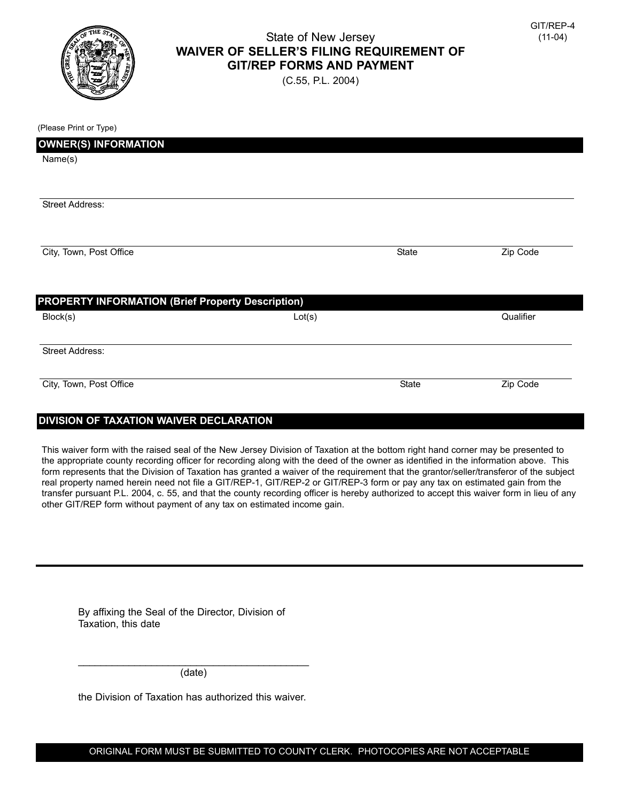

## State of New Jersey **WAIVER OF SELLER'S FILING REQUIREMENT OF GIT/REP FORMS AND PAYMENT**

(C.55, P.L. 2004)

| (Please Print or Type)                                   |        |       |           |
|----------------------------------------------------------|--------|-------|-----------|
| <b>OWNER(S) INFORMATION</b>                              |        |       |           |
| Name(s)                                                  |        |       |           |
|                                                          |        |       |           |
| Street Address:                                          |        |       |           |
|                                                          |        |       |           |
| City, Town, Post Office                                  |        | State | Zip Code  |
| <b>PROPERTY INFORMATION (Brief Property Description)</b> |        |       |           |
| Block(s)                                                 | Lot(s) |       | Qualifier |
| <b>Street Address:</b>                                   |        |       |           |
| City, Town, Post Office                                  |        | State | Zip Code  |

## **DIVISION OF TAXATION WAIVER DECLARATION**

This waiver form with the raised seal of the New Jersey Division of Taxation at the bottom right hand corner may be presented to the appropriate county recording officer for recording along with the deed of the owner as identified in the information above. This form represents that the Division of Taxation has granted a waiver of the requirement that the grantor/seller/transferor of the subject real property named herein need not file a GIT/REP-1, GIT/REP-2 or GIT/REP-3 form or pay any tax on estimated gain from the transfer pursuant P.L. 2004, c. 55, and that the county recording officer is hereby authorized to accept this waiver form in lieu of any other GIT/REP form without payment of any tax on estimated income gain.

| By affixing the Seal of the Director, Division of |  |  |
|---------------------------------------------------|--|--|
| Taxation, this date                               |  |  |

 $\overline{\phantom{a}}$  , and the contract of the contract of the contract of the contract of the contract of the contract of the contract of the contract of the contract of the contract of the contract of the contract of the contrac (date)

the Division of Taxation has authorized this waiver.